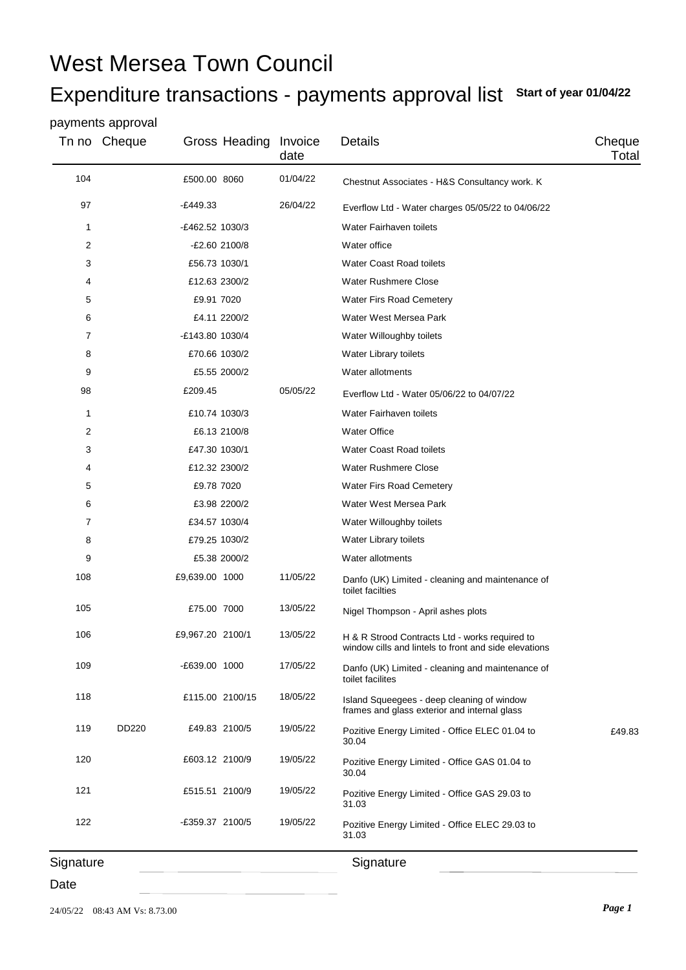# West Mersea Town Council

## Expenditure transactions - payments approval list **Start of year 01/04/22**

#### payments approval

| Tn no     | Cheque | Gross Heading    | Invoice<br>date | Details                                                                                                 | Cheque<br>Total |
|-----------|--------|------------------|-----------------|---------------------------------------------------------------------------------------------------------|-----------------|
| 104       |        | £500.00 8060     | 01/04/22        | Chestnut Associates - H&S Consultancy work. K                                                           |                 |
| 97        |        | $-E449.33$       | 26/04/22        | Everflow Ltd - Water charges 05/05/22 to 04/06/22                                                       |                 |
| 1         |        | -£462.52 1030/3  |                 | Water Fairhaven toilets                                                                                 |                 |
| 2         |        | -£2.60 2100/8    |                 | Water office                                                                                            |                 |
| 3         |        | £56.73 1030/1    |                 | <b>Water Coast Road toilets</b>                                                                         |                 |
| 4         |        | £12.63 2300/2    |                 | <b>Water Rushmere Close</b>                                                                             |                 |
| 5         |        | £9.91 7020       |                 | Water Firs Road Cemetery                                                                                |                 |
| 6         |        | £4.11 2200/2     |                 | Water West Mersea Park                                                                                  |                 |
| 7         |        | -£143.80 1030/4  |                 | Water Willoughby toilets                                                                                |                 |
| 8         |        | £70.66 1030/2    |                 | Water Library toilets                                                                                   |                 |
| 9         |        | £5.55 2000/2     |                 | Water allotments                                                                                        |                 |
| 98        |        | £209.45          | 05/05/22        | Everflow Ltd - Water 05/06/22 to 04/07/22                                                               |                 |
| 1         |        | £10.74 1030/3    |                 | Water Fairhaven toilets                                                                                 |                 |
| 2         |        | £6.13 2100/8     |                 | <b>Water Office</b>                                                                                     |                 |
| 3         |        | £47.30 1030/1    |                 | <b>Water Coast Road toilets</b>                                                                         |                 |
| 4         |        | £12.32 2300/2    |                 | <b>Water Rushmere Close</b>                                                                             |                 |
| 5         |        | £9.78 7020       |                 | Water Firs Road Cemetery                                                                                |                 |
| 6         |        | £3.98 2200/2     |                 | Water West Mersea Park                                                                                  |                 |
| 7         |        | £34.57 1030/4    |                 | Water Willoughby toilets                                                                                |                 |
| 8         |        | £79.25 1030/2    |                 | Water Library toilets                                                                                   |                 |
| 9         |        | £5.38 2000/2     |                 | Water allotments                                                                                        |                 |
| 108       |        | £9,639.00 1000   | 11/05/22        | Danfo (UK) Limited - cleaning and maintenance of<br>toilet facilties                                    |                 |
| 105       |        | £75.00 7000      | 13/05/22        | Nigel Thompson - April ashes plots                                                                      |                 |
| 106       |        | £9,967.20 2100/1 | 13/05/22        | H & R Strood Contracts Ltd - works required to<br>window cills and lintels to front and side elevations |                 |
| 109       |        | E639.00 1000     | 17/05/22        | Danfo (UK) Limited - cleaning and maintenance of<br>toilet facilites                                    |                 |
| 118       |        | £115.00 2100/15  | 18/05/22        | Island Squeegees - deep cleaning of window<br>frames and glass exterior and internal glass              |                 |
| 119       | DD220  | £49.83 2100/5    | 19/05/22        | Pozitive Energy Limited - Office ELEC 01.04 to<br>30.04                                                 | £49.83          |
| 120       |        | £603.12 2100/9   | 19/05/22        | Pozitive Energy Limited - Office GAS 01.04 to<br>30.04                                                  |                 |
| 121       |        | £515.51 2100/9   | 19/05/22        | Pozitive Energy Limited - Office GAS 29.03 to<br>31.03                                                  |                 |
| 122       |        | -£359.37 2100/5  | 19/05/22        | Pozitive Energy Limited - Office ELEC 29.03 to<br>31.03                                                 |                 |
| Signature |        |                  |                 | Signature                                                                                               |                 |

Date